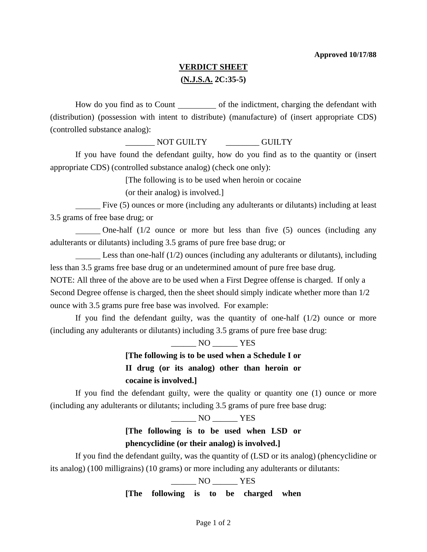### **VERDICT SHEET (N.J.S.A. 2C:35-5)**

How do you find as to Count of the indictment, charging the defendant with (distribution) (possession with intent to distribute) (manufacture) of (insert appropriate CDS) (controlled substance analog):

NOT GUILTY GUILTY

 If you have found the defendant guilty, how do you find as to the quantity or (insert appropriate CDS) (controlled substance analog) (check one only):

[The following is to be used when heroin or cocaine

(or their analog) is involved.]

 Five (5) ounces or more (including any adulterants or dilutants) including at least 3.5 grams of free base drug; or

 One-half (1/2 ounce or more but less than five (5) ounces (including any adulterants or dilutants) including 3.5 grams of pure free base drug; or

Less than one-half  $(1/2)$  ounces (including any adulterants or dilutants), including less than 3.5 grams free base drug or an undetermined amount of pure free base drug.

NOTE: All three of the above are to be used when a First Degree offense is charged. If only a Second Degree offense is charged, then the sheet should simply indicate whether more than 1/2 ounce with 3.5 grams pure free base was involved. For example:

If you find the defendant guilty, was the quantity of one-half  $(1/2)$  ounce or more (including any adulterants or dilutants) including 3.5 grams of pure free base drug:

 $\frac{1}{100}$  NO  $\frac{1}{100}$  YES

**[The following is to be used when a Schedule I or II drug (or its analog) other than heroin or cocaine is involved.]** 

 If you find the defendant guilty, were the quality or quantity one (1) ounce or more (including any adulterants or dilutants; including 3.5 grams of pure free base drug:

NO YES

# **[The following is to be used when LSD or phencyclidine (or their analog) is involved.]**

 If you find the defendant guilty, was the quantity of (LSD or its analog) (phencyclidine or its analog) (100 milligrains) (10 grams) or more including any adulterants or dilutants:

\_\_\_\_\_\_ NO \_\_\_\_\_\_ YES

**[The following is to be charged when**